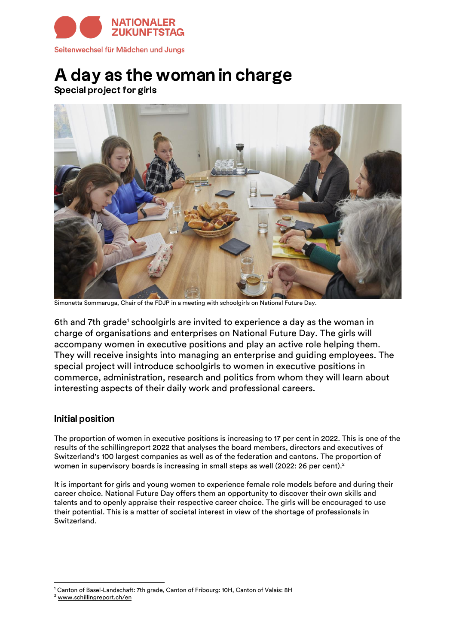

# A day as the woman in charge

**Special project for girls** 



Simonetta Sommaruga, Chair of the FDJP in a meeting with schoolgirls on National Future Day.

6th and 7th grade<sup>1</sup> schoolgirls are invited to experience a day as the woman in charge of organisations and enterprises on National Future Day. The girls will accompany women in executive positions and play an active role helping them. They will receive insights into managing an enterprise and guiding employees. The special project will introduce schoolgirls to women in executive positions in commerce, administration, research and politics from whom they will learn about interesting aspects of their daily work and professional careers.

## **Initial position**

The proportion of women in executive positions is increasing to 17 per cent in 2022. This is one of the results of the schillingreport 2022 that analyses the board members, directors and executives of Switzerland's 100 largest companies as well as of the federation and cantons. The proportion of women in supervisory boards is increasing in small steps as well (2022: 26 per cent).<sup>2</sup>

It is important for girls and young women to experience female role models before and during their career choice. National Future Day offers them an opportunity to discover their own skills and talents and to openly appraise their respective career choice. The girls will be encouraged to use their potential. This is a matter of societal interest in view of the shortage of professionals in Switzerland.

<sup>&</sup>lt;sup>1</sup> Canton of Basel-Landschaft: 7th grade, Canton of Fribourg: 10H, Canton of Valais: 8H

<sup>2</sup> [www.schillingreport.ch/en](https://www.schillingreport.ch/en/)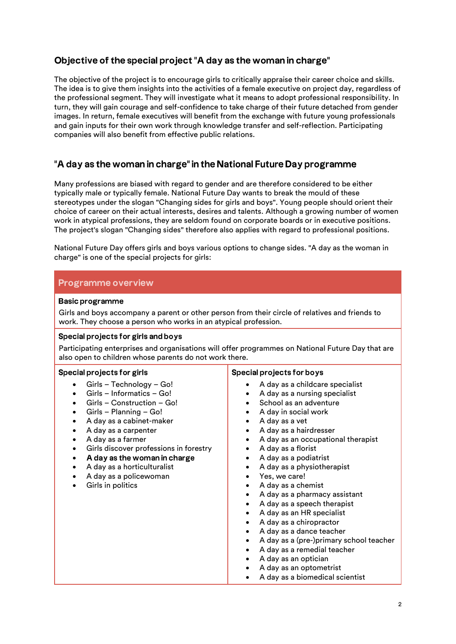# Objective of the special project "A day as the woman in charge"

The objective of the project is to encourage girls to critically appraise their career choice and skills. The idea is to give them insights into the activities of a female executive on project day, regardless of the professional segment. They will investigate what it means to adopt professional responsibility. In turn, they will gain courage and self-confidence to take charge of their future detached from gender images. In return, female executives will benefit from the exchange with future young professionals and gain inputs for their own work through knowledge transfer and self-reflection. Participating companies will also benefit from effective public relations.

# "A day as the woman in charge" in the National Future Day programme

Many professions are biased with regard to gender and are therefore considered to be either typically male or typically female. National Future Day wants to break the mould of these stereotypes under the slogan "Changing sides for girls and boys". Young people should orient their choice of career on their actual interests, desires and talents. Although a growing number of women work in atypical professions, they are seldom found on corporate boards or in executive positions. The project's slogan "Changing sides" therefore also applies with regard to professional positions.

National Future Day offers girls and boys various options to change sides. "A day as the woman in charge" is one of the special projects for girls:

## **Programme overview**

#### **Basic programme**

Girls and boys accompany a parent or other person from their circle of relatives and friends to work. They choose a person who works in an atypical profession.

#### Special projects for girls and boys

Participating enterprises and organisations will offer programmes on National Future Day that are also open to children whose parents do not work there.

#### Special projects for girls

- Girls Technology Go!
- Girls Informatics Go!
- Girls Construction Go!
- Girls Planning Go!
- A day as a cabinet-maker
- A day as a carpenter
- A day as a farmer
- Girls discover professions in forestry
- A day as the woman in charge •
- A day as a horticulturalist
- A day as a policewoman
- Girls in politics

#### Special projects for boys

- A day as a childcare specialist
- A day as a nursing specialist
- School as an adventure
- A day in social work
- A day as a vet
- A day as a hairdresser
- A day as an occupational therapist
- A day as a florist
- A day as a podiatrist
- A day as a physiotherapist
- Yes, we care!
- A day as a chemist
- A day as a pharmacy assistant
- A day as a speech therapist
- A day as an HR specialist
- A day as a chiropractor
- A day as a dance teacher
- A day as a (pre-)primary school teacher
- A day as a remedial teacher
- A day as an optician
- A day as an optometrist
- A day as a biomedical scientist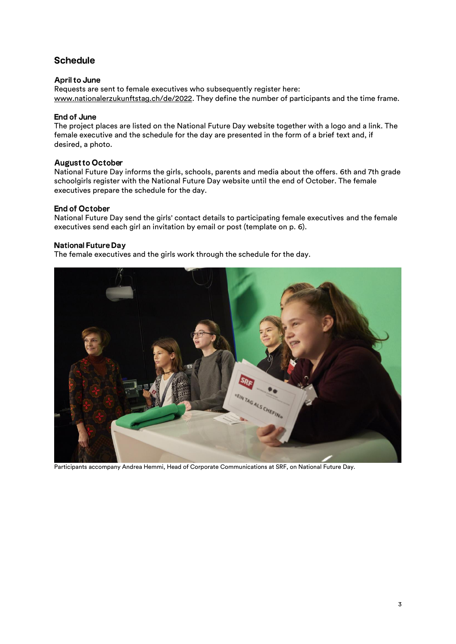# **Schedule**

#### **April to June**

Requests are sent to female executives who subsequently register here: [www.nationalerzukunftstag.ch/de/2022.](https://www.nationalerzukunftstag.ch/de/2022/) They define the number of participants and the time frame.

#### **End of June**

The project places are listed on the National Future Day website together with a logo and a link. The female executive and the schedule for the day are presented in the form of a brief text and, if desired, a photo.

#### **August to October**

National Future Day informs the girls, schools, parents and media about the offers. 6th and 7th grade schoolgirls register with the National Future Day website until the end of October. The female executives prepare the schedule for the day.

#### **End of October**

National Future Day send the girls' contact details to participating female executives and the female executives send each girl an invitation by email or post (template on p. 6).

#### **National Future Day**

The female executives and the girls work through the schedule for the day.



Participants accompany Andrea Hemmi, Head of Corporate Communications at SRF, on National Future Day.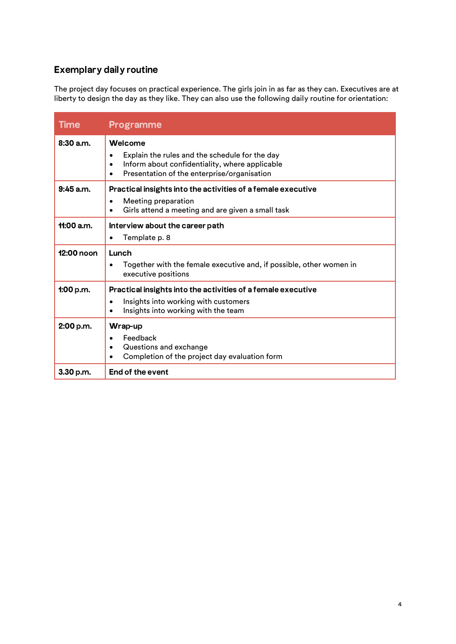# **Exemplary daily routine**

The project day focuses on practical experience. The girls join in as far as they can. Executives are at liberty to design the day as they like. They can also use the following daily routine for orientation:

| <b>Time</b>  | Programme                                                                                                                                                                            |  |
|--------------|--------------------------------------------------------------------------------------------------------------------------------------------------------------------------------------|--|
| $8:30$ a.m.  | Welcome<br>Explain the rules and the schedule for the day<br>$\bullet$<br>Inform about confidentiality, where applicable<br>$\bullet$<br>Presentation of the enterprise/organisation |  |
| $9:45$ a.m.  | Practical insights into the activities of a female executive<br>Meeting preparation<br>$\bullet$<br>Girls attend a meeting and are given a small task<br>$\bullet$                   |  |
| $11:00$ a.m. | Interview about the career path<br>Template p. 8<br>$\bullet$                                                                                                                        |  |
| 12:00 noon   | Lunch<br>Together with the female executive and, if possible, other women in<br>$\bullet$<br>executive positions                                                                     |  |
| 1:00 p.m.    | Practical insights into the activities of a female executive<br>Insights into working with customers<br>$\bullet$<br>Insights into working with the team                             |  |
| 2:00 p.m.    | Wrap-up<br>Feedback<br>$\bullet$<br>Questions and exchange<br>$\bullet$<br>Completion of the project day evaluation form                                                             |  |
| 3.30 p.m.    | End of the event                                                                                                                                                                     |  |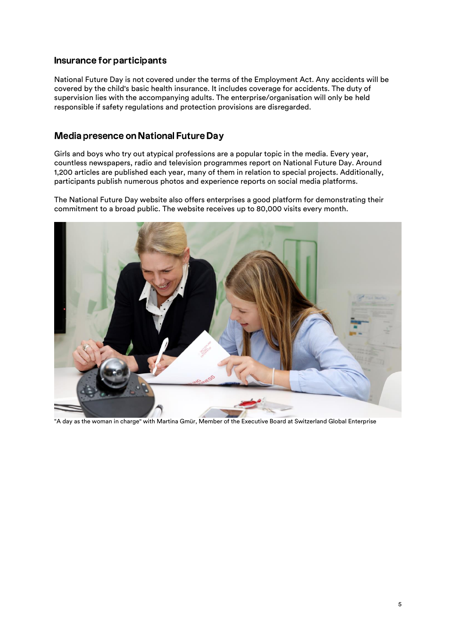## Insurance for participants

National Future Day is not covered under the terms of the Employment Act. Any accidents will be covered by the child's basic health insurance. It includes coverage for accidents. The duty of supervision lies with the accompanying adults. The enterprise/organisation will only be held responsible if safety regulations and protection provisions are disregarded.

## Media presence on National Future Day

Girls and boys who try out atypical professions are a popular topic in the media. Every year, countless newspapers, radio and television programmes report on National Future Day. Around 1,200 articles are published each year, many of them in relation to special projects. Additionally, participants publish numerous photos and experience reports on social media platforms.

The National Future Day website also offers enterprises a good platform for demonstrating their commitment to a broad public. The website receives up to 80,000 visits every month.



"A day as the woman in charge" with Martina Gmür, Member of the Executive Board at Switzerland Global Enterprise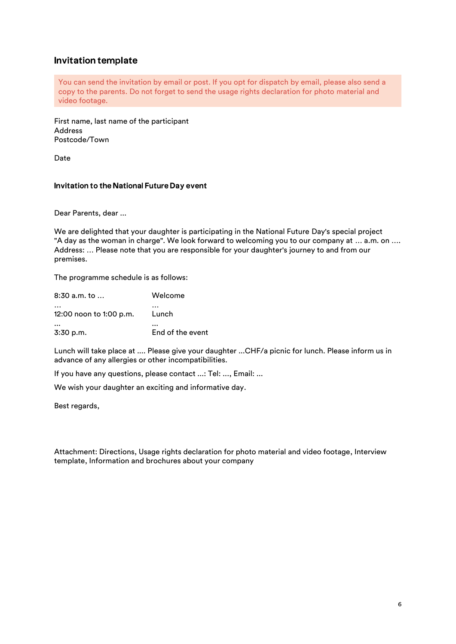## **Invitation template**

You can send the invitation by email or post. If you opt for dispatch by email, please also send a copy to the parents. Do not forget to send the usage rights declaration for photo material and video footage.

First name, last name of the participant Address Postcode/Town

Date

#### Invitation to the National Future Day event

Dear Parents, dear ...

We are delighted that your daughter is participating in the National Future Day's special project "A day as the woman in charge". We look forward to welcoming you to our company at … a.m. on …. Address: … Please note that you are responsible for your daughter's journey to and from our premises.

The programme schedule is as follows:

| $8:30$ a.m. to $\dots$  | Welcome          |
|-------------------------|------------------|
| 12:00 noon to 1:00 p.m. | Lunch            |
| $3:30$ p.m.             | End of the event |

Lunch will take place at .... Please give your daughter ...CHF/a picnic for lunch. Please inform us in advance of any allergies or other incompatibilities.

If you have any questions, please contact ...: Tel: ..., Email: ...

We wish your daughter an exciting and informative day.

Best regards,

Attachment: Directions, Usage rights declaration for photo material and video footage, Interview template, Information and brochures about your company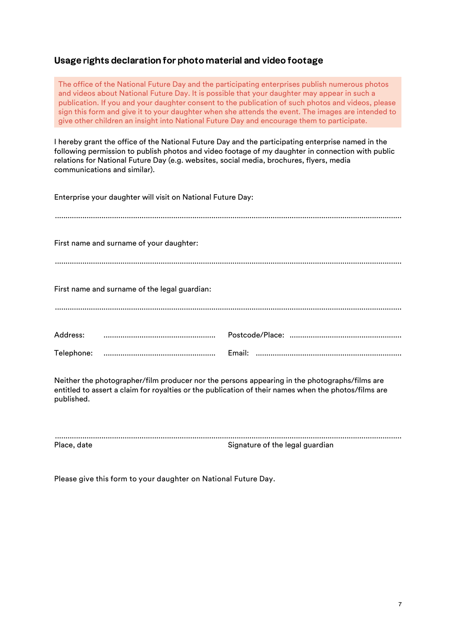# Usage rights declaration for photo material and video footage

The office of the National Future Day and the participating enterprises publish numerous photos and videos about National Future Day. It is possible that your daughter may appear in such a publication. If you and your daughter consent to the publication of such photos and videos, please sign this form and give it to your daughter when she attends the event. The images are intended to give other children an insight into National Future Day and encourage them to participate.

I hereby grant the office of the National Future Day and the participating enterprise named in the following permission to publish photos and video footage of my daughter in connection with public relations for National Future Day (e.g. websites, social media, brochures, flyers, media communications and similar).

| Enterprise your daughter will visit on National Future Day: |  |
|-------------------------------------------------------------|--|
| First name and surname of your daughter:                    |  |
| First name and surname of the legal guardian:               |  |
|                                                             |  |

Neither the photographer/film producer nor the persons appearing in the photographs/films are entitled to assert a claim for royalties or the publication of their names when the photos/films are published.

| Place, date | Signature of the legal guardian |
|-------------|---------------------------------|

Please give this form to your daughter on National Future Day.